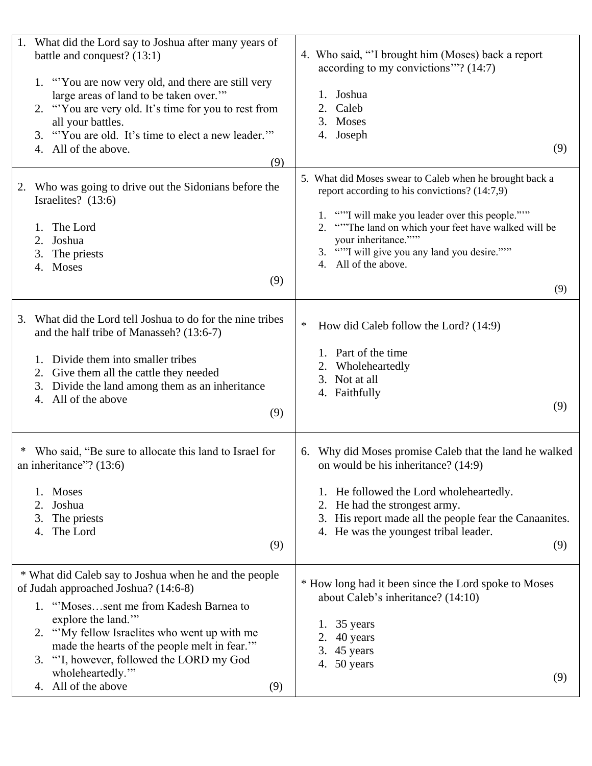| What did the Lord say to Joshua after many years of<br>battle and conquest? (13:1)<br>1. "You are now very old, and there are still very<br>large areas of land to be taken over."<br>2. "You are very old. It's time for you to rest from<br>all your battles.<br>3. "You are old. It's time to elect a new leader."                                       | 4. Who said, "I brought him (Moses) back a report<br>according to my convictions"? (14:7)<br>Joshua<br>1.<br>Caleb<br>2.<br>3. Moses<br>4. Joseph                                                                                                                                                                      |
|-------------------------------------------------------------------------------------------------------------------------------------------------------------------------------------------------------------------------------------------------------------------------------------------------------------------------------------------------------------|------------------------------------------------------------------------------------------------------------------------------------------------------------------------------------------------------------------------------------------------------------------------------------------------------------------------|
| 4. All of the above.<br>(9)                                                                                                                                                                                                                                                                                                                                 | (9)                                                                                                                                                                                                                                                                                                                    |
| Who was going to drive out the Sidonians before the<br>2.<br>Israelites? (13:6)<br>The Lord<br>1.<br>2.<br>Joshua<br>3. The priests<br>4. Moses<br>(9)                                                                                                                                                                                                      | 5. What did Moses swear to Caleb when he brought back a<br>report according to his convictions? (14:7,9)<br>1. ""I will make you leader over this people."""<br>2. ""The land on which your feet have walked will be<br>your inheritance.""<br>3. ""I will give you any land you desire."""<br>All of the above.<br>4. |
|                                                                                                                                                                                                                                                                                                                                                             | (9)                                                                                                                                                                                                                                                                                                                    |
| What did the Lord tell Joshua to do for the nine tribes<br>3.<br>and the half tribe of Manasseh? (13:6-7)<br>1. Divide them into smaller tribes<br>2. Give them all the cattle they needed<br>3. Divide the land among them as an inheritance<br>4. All of the above<br>(9)                                                                                 | ∗<br>How did Caleb follow the Lord? (14:9)<br>1. Part of the time<br>Wholeheartedly<br>2.<br>3. Not at all<br>4. Faithfully<br>(9)                                                                                                                                                                                     |
| * Who said, "Be sure to allocate this land to Israel for<br>an inheritance"? $(13:6)$<br>1. Moses<br>2.<br>Joshua<br>3. The priests<br>4. The Lord<br>(9)                                                                                                                                                                                                   | 6. Why did Moses promise Caleb that the land he walked<br>on would be his inheritance? (14:9)<br>1. He followed the Lord wholeheartedly.<br>2. He had the strongest army.<br>3. His report made all the people fear the Canaanites.<br>4. He was the youngest tribal leader.<br>(9)                                    |
| * What did Caleb say to Joshua when he and the people<br>of Judah approached Joshua? (14:6-8)<br>1. "Mosessent me from Kadesh Barnea to<br>explore the land."<br>2. "My fellow Israelites who went up with me<br>made the hearts of the people melt in fear."<br>3. "I, however, followed the LORD my God<br>wholeheartedly."<br>4. All of the above<br>(9) | * How long had it been since the Lord spoke to Moses<br>about Caleb's inheritance? (14:10)<br>1. $35$ years<br>40 years<br>2.<br>45 years<br>3.<br>50 years<br>4.<br>(9)                                                                                                                                               |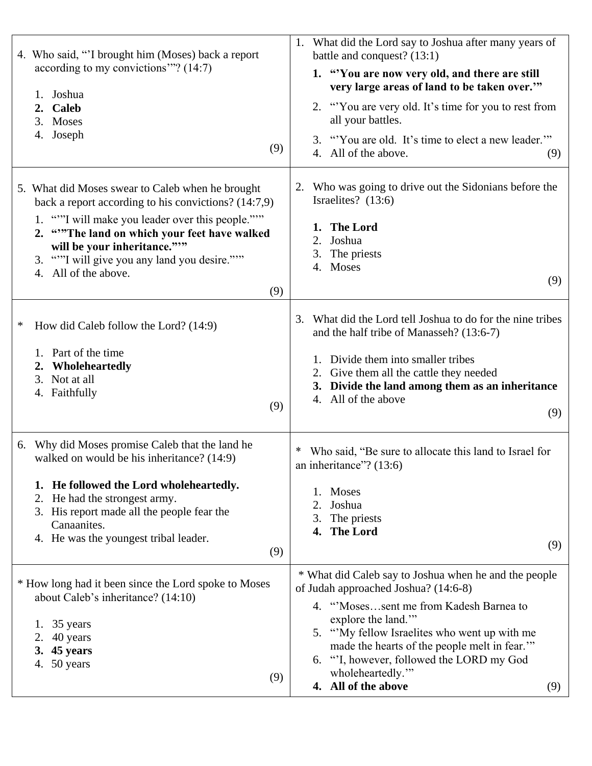| 4. Who said, "I brought him (Moses) back a report<br>according to my convictions"? (14:7)<br>1. Joshua<br>2. Caleb<br>3. Moses<br>4. Joseph<br>(9)                                                                                                                                                                          | 1. What did the Lord say to Joshua after many years of<br>battle and conquest? (13:1)<br>1. "You are now very old, and there are still<br>very large areas of land to be taken over."<br>2. "You are very old. It's time for you to rest from<br>all your battles.<br>3. "You are old. It's time to elect a new leader."<br>4. All of the above.<br>(9)     |
|-----------------------------------------------------------------------------------------------------------------------------------------------------------------------------------------------------------------------------------------------------------------------------------------------------------------------------|-------------------------------------------------------------------------------------------------------------------------------------------------------------------------------------------------------------------------------------------------------------------------------------------------------------------------------------------------------------|
| 5. What did Moses swear to Caleb when he brought<br>back a report according to his convictions? (14:7,9)<br>1. ""I will make you leader over this people."""<br>2. ""The land on which your feet have walked<br>will be your inheritance."""<br>3. ""I will give you any land you desire."""<br>4. All of the above.<br>(9) | Who was going to drive out the Sidonians before the<br>2.<br>Israelites? (13:6)<br>1. The Lord<br>Joshua<br>2.<br>The priests<br>3.<br>4. Moses<br>(9)                                                                                                                                                                                                      |
| ∗<br>How did Caleb follow the Lord? (14:9)<br>1. Part of the time<br>2. Wholeheartedly<br>3. Not at all<br>4. Faithfully<br>(9)                                                                                                                                                                                             | What did the Lord tell Joshua to do for the nine tribes<br>3.<br>and the half tribe of Manasseh? (13:6-7)<br>1. Divide them into smaller tribes<br>2. Give them all the cattle they needed<br>3. Divide the land among them as an inheritance<br>4. All of the above<br>(9)                                                                                 |
| 6. Why did Moses promise Caleb that the land he<br>walked on would be his inheritance? (14:9)<br>1. He followed the Lord wholeheartedly.<br>2. He had the strongest army.<br>3. His report made all the people fear the<br>Canaanites.<br>4. He was the youngest tribal leader.<br>(9)                                      | Who said, "Be sure to allocate this land to Israel for<br>an inheritance"? (13:6)<br>1. Moses<br>2.<br>Joshua<br>The priests<br>3.<br><b>The Lord</b><br>4.<br>(9)                                                                                                                                                                                          |
| * How long had it been since the Lord spoke to Moses<br>about Caleb's inheritance? (14:10)<br>1. $35$ years<br>2. 40 years<br>3. 45 years<br>4. 50 years<br>(9)                                                                                                                                                             | * What did Caleb say to Joshua when he and the people<br>of Judah approached Joshua? (14:6-8)<br>4. "Mosessent me from Kadesh Barnea to<br>explore the land."<br>5. "My fellow Israelites who went up with me<br>made the hearts of the people melt in fear."<br>6. "I, however, followed the LORD my God<br>wholeheartedly."<br>4. All of the above<br>(9) |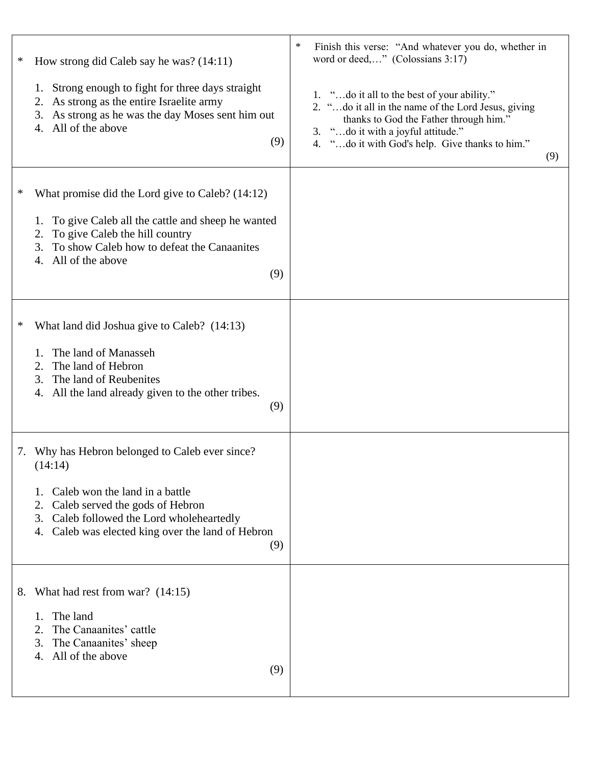| How strong did Caleb say he was? (14:11)<br>∗<br>1. Strong enough to fight for three days straight<br>2. As strong as the entire Israelite army<br>3. As strong as he was the day Moses sent him out<br>4. All of the above<br>(9)                   | $\ast$<br>Finish this verse: "And whatever you do, whether in<br>word or deed," (Colossians 3:17)<br>1. "do it all to the best of your ability."<br>2. "do it all in the name of the Lord Jesus, giving<br>thanks to God the Father through him."<br>3. "do it with a joyful attitude."<br>4. "do it with God's help. Give thanks to him."<br>(9) |
|------------------------------------------------------------------------------------------------------------------------------------------------------------------------------------------------------------------------------------------------------|---------------------------------------------------------------------------------------------------------------------------------------------------------------------------------------------------------------------------------------------------------------------------------------------------------------------------------------------------|
| *<br>What promise did the Lord give to Caleb? (14:12)<br>To give Caleb all the cattle and sheep he wanted<br>1.<br>To give Caleb the hill country<br>2.<br>To show Caleb how to defeat the Canaanites<br>3.<br>4. All of the above<br>(9)            |                                                                                                                                                                                                                                                                                                                                                   |
| What land did Joshua give to Caleb? (14:13)<br>*<br>The land of Manasseh<br>1.<br>The land of Hebron<br>2.<br>The land of Reubenites<br>3.<br>4. All the land already given to the other tribes.<br>(9)                                              |                                                                                                                                                                                                                                                                                                                                                   |
| Why has Hebron belonged to Caleb ever since?<br>7.<br>(14:14)<br>Caleb won the land in a battle<br>Caleb served the gods of Hebron<br>2.<br>Caleb followed the Lord wholeheartedly<br>3.<br>4. Caleb was elected king over the land of Hebron<br>(9) |                                                                                                                                                                                                                                                                                                                                                   |
| 8. What had rest from war? (14:15)<br>The land<br>1.<br>The Canaanites' cattle<br>2.<br>The Canaanites' sheep<br>3.<br>All of the above<br>4.<br>(9)                                                                                                 |                                                                                                                                                                                                                                                                                                                                                   |